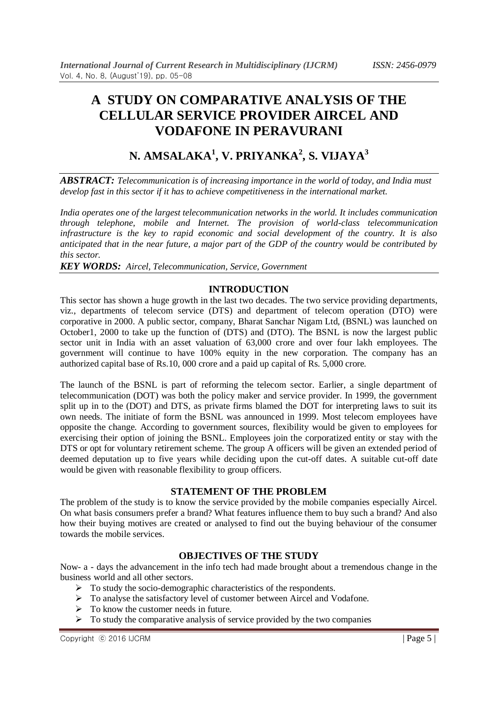# **A STUDY ON COMPARATIVE ANALYSIS OF THE CELLULAR SERVICE PROVIDER AIRCEL AND VODAFONE IN PERAVURANI**

# **N. AMSALAKA<sup>1</sup> , V. PRIYANKA<sup>2</sup> , S. VIJAYA<sup>3</sup>**

*ABSTRACT: Telecommunication is of increasing importance in the world of today, and India must develop fast in this sector if it has to achieve competitiveness in the international market.*

*India operates one of the largest telecommunication networks in the world. It includes communication through telephone, mobile and Internet. The provision of world-class telecommunication infrastructure is the key to rapid economic and social development of the country. It is also anticipated that in the near future, a major part of the GDP of the country would be contributed by this sector.*

*KEY WORDS: Aircel, Telecommunication, Service, Government*

### **INTRODUCTION**

This sector has shown a huge growth in the last two decades. The two service providing departments, viz., departments of telecom service (DTS) and department of telecom operation (DTO) were corporative in 2000. A public sector, company, Bharat Sanchar Nigam Ltd, (BSNL) was launched on October1, 2000 to take up the function of (DTS) and (DTO). The BSNL is now the largest public sector unit in India with an asset valuation of 63,000 crore and over four lakh employees. The government will continue to have 100% equity in the new corporation. The company has an authorized capital base of Rs.10, 000 crore and a paid up capital of Rs. 5,000 crore.

The launch of the BSNL is part of reforming the telecom sector. Earlier, a single department of telecommunication (DOT) was both the policy maker and service provider. In 1999, the government split up in to the (DOT) and DTS, as private firms blamed the DOT for interpreting laws to suit its own needs. The initiate of form the BSNL was announced in 1999. Most telecom employees have opposite the change. According to government sources, flexibility would be given to employees for exercising their option of joining the BSNL. Employees join the corporatized entity or stay with the DTS or opt for voluntary retirement scheme. The group A officers will be given an extended period of deemed deputation up to five years while deciding upon the cut-off dates. A suitable cut-off date would be given with reasonable flexibility to group officers.

### **STATEMENT OF THE PROBLEM**

The problem of the study is to know the service provided by the mobile companies especially Aircel. On what basis consumers prefer a brand? What features influence them to buy such a brand? And also how their buying motives are created or analysed to find out the buying behaviour of the consumer towards the mobile services.

### **OBJECTIVES OF THE STUDY**

Now- a - days the advancement in the info tech had made brought about a tremendous change in the business world and all other sectors.

- $\triangleright$  To study the socio-demographic characteristics of the respondents.
- To analyse the satisfactory level of customer between Aircel and Vodafone.
- $\triangleright$  To know the customer needs in future.
- $\triangleright$  To study the comparative analysis of service provided by the two companies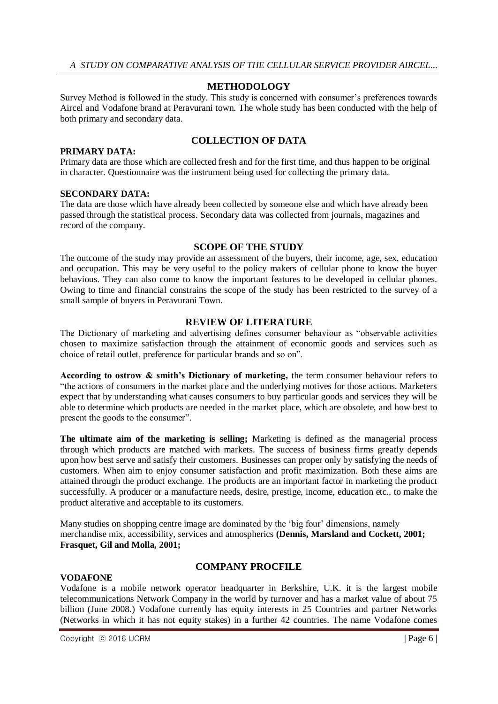### **METHODOLOGY**

Survey Method is followed in the study. This study is concerned with consumer"s preferences towards Aircel and Vodafone brand at Peravurani town. The whole study has been conducted with the help of both primary and secondary data.

# **COLLECTION OF DATA**

Primary data are those which are collected fresh and for the first time, and thus happen to be original in character. Questionnaire was the instrument being used for collecting the primary data.

#### **SECONDARY DATA:**

**PRIMARY DATA:**

The data are those which have already been collected by someone else and which have already been passed through the statistical process. Secondary data was collected from journals, magazines and record of the company.

### **SCOPE OF THE STUDY**

The outcome of the study may provide an assessment of the buyers, their income, age, sex, education and occupation. This may be very useful to the policy makers of cellular phone to know the buyer behavious. They can also come to know the important features to be developed in cellular phones. Owing to time and financial constrains the scope of the study has been restricted to the survey of a small sample of buyers in Peravurani Town.

### **REVIEW OF LITERATURE**

The Dictionary of marketing and advertising defines consumer behaviour as "observable activities chosen to maximize satisfaction through the attainment of economic goods and services such as choice of retail outlet, preference for particular brands and so on".

**According to ostrow & smith's Dictionary of marketing,** the term consumer behaviour refers to "the actions of consumers in the market place and the underlying motives for those actions. Marketers expect that by understanding what causes consumers to buy particular goods and services they will be able to determine which products are needed in the market place, which are obsolete, and how best to present the goods to the consumer".

**The ultimate aim of the marketing is selling;** Marketing is defined as the managerial process through which products are matched with markets. The success of business firms greatly depends upon how best serve and satisfy their customers. Businesses can proper only by satisfying the needs of customers. When aim to enjoy consumer satisfaction and profit maximization. Both these aims are attained through the product exchange. The products are an important factor in marketing the product successfully. A producer or a manufacture needs, desire, prestige, income, education etc., to make the product alterative and acceptable to its customers.

Many studies on shopping centre image are dominated by the 'big four' dimensions, namely merchandise mix, accessibility, services and atmospherics **(Dennis, Marsland and Cockett, 2001; Frasquet, Gil and Molla, 2001;**

### **VODAFONE**

## **COMPANY PROCFILE**

Vodafone is a mobile network operator headquarter in Berkshire, U.K. it is the largest mobile telecommunications Network Company in the world by turnover and has a market value of about 75 billion (June 2008.) Vodafone currently has equity interests in 25 Countries and partner Networks (Networks in which it has not equity stakes) in a further 42 countries. The name Vodafone comes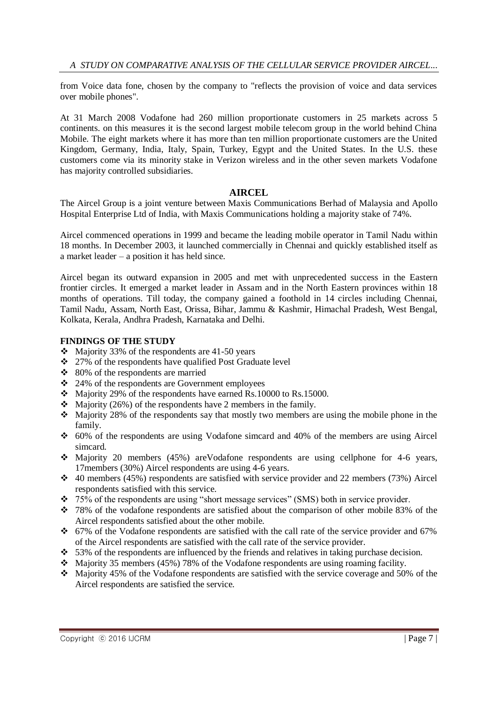from Voice data fone, chosen by the company to "reflects the provision of voice and data services over mobile phones".

At 31 March 2008 Vodafone had 260 million proportionate customers in 25 markets across 5 continents. on this measures it is the second largest mobile telecom group in the world behind China Mobile. The eight markets where it has more than ten million proportionate customers are the United Kingdom, Germany, India, Italy, Spain, Turkey, Egypt and the United States. In the U.S. these customers come via its minority stake in Verizon wireless and in the other seven markets Vodafone has majority controlled subsidiaries.

### **AIRCEL**

The Aircel Group is a joint venture between Maxis Communications Berhad of Malaysia and Apollo Hospital Enterprise Ltd of India, with Maxis Communications holding a majority stake of 74%.

Aircel commenced operations in 1999 and became the leading mobile operator in Tamil Nadu within 18 months. In December 2003, it launched commercially in Chennai and quickly established itself as a market leader – a position it has held since.

Aircel began its outward expansion in 2005 and met with unprecedented success in the Eastern frontier circles. It emerged a market leader in Assam and in the North Eastern provinces within 18 months of operations. Till today, the company gained a foothold in 14 circles including Chennai, Tamil Nadu, Assam, North East, Orissa, Bihar, Jammu & Kashmir, Himachal Pradesh, West Bengal, Kolkata, Kerala, Andhra Pradesh, Karnataka and Delhi.

#### **FINDINGS OF THE STUDY**

- $\div$  Majority 33% of the respondents are 41-50 years
- 27% of the respondents have qualified Post Graduate level
- $\div$  80% of the respondents are married
- 24% of the respondents are Government employees
- Majority 29% of the respondents have earned Rs.10000 to Rs.15000.
- $\triangleleft$  Majority (26%) of the respondents have 2 members in the family.
- $\cdot$  Majority 28% of the respondents say that mostly two members are using the mobile phone in the family.
- 60% of the respondents are using Vodafone simcard and 40% of the members are using Aircel simcard.
- Majority 20 members (45%) are Vodafone respondents are using cellphone for 4-6 years, 17members (30%) Aircel respondents are using 4-6 years.
- $\div$  40 members (45%) respondents are satisfied with service provider and 22 members (73%) Aircel respondents satisfied with this service.
- $\div$  75% of the respondents are using "short message services" (SMS) both in service provider.
- 78% of the vodafone respondents are satisfied about the comparison of other mobile 83% of the Aircel respondents satisfied about the other mobile.
- 67% of the Vodafone respondents are satisfied with the call rate of the service provider and 67% of the Aircel respondents are satisfied with the call rate of the service provider.
- $\div$  53% of the respondents are influenced by the friends and relatives in taking purchase decision.
- $\cdot$  Majority 35 members (45%) 78% of the Vodafone respondents are using roaming facility.
- $\div$  Majority 45% of the Vodafone respondents are satisfied with the service coverage and 50% of the Aircel respondents are satisfied the service.